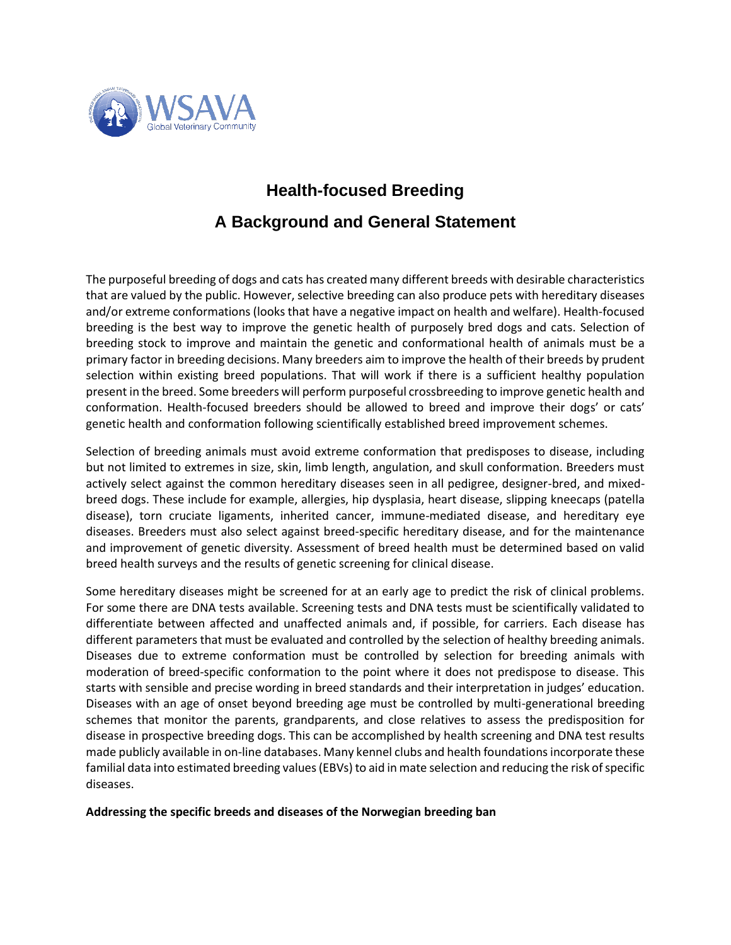

## **Health-focused Breeding A Background and General Statement**

The purposeful breeding of dogs and cats has created many different breeds with desirable characteristics that are valued by the public. However, selective breeding can also produce pets with hereditary diseases and/or extreme conformations (looks that have a negative impact on health and welfare). Health-focused breeding is the best way to improve the genetic health of purposely bred dogs and cats. Selection of breeding stock to improve and maintain the genetic and conformational health of animals must be a primary factor in breeding decisions. Many breeders aim to improve the health of their breeds by prudent selection within existing breed populations. That will work if there is a sufficient healthy population present in the breed. Some breeders will perform purposeful crossbreeding to improve genetic health and conformation. Health-focused breeders should be allowed to breed and improve their dogs' or cats' genetic health and conformation following scientifically established breed improvement schemes.

Selection of breeding animals must avoid extreme conformation that predisposes to disease, including but not limited to extremes in size, skin, limb length, angulation, and skull conformation. Breeders must actively select against the common hereditary diseases seen in all pedigree, designer-bred, and mixedbreed dogs. These include for example, allergies, hip dysplasia, heart disease, slipping kneecaps (patella disease), torn cruciate ligaments, inherited cancer, immune-mediated disease, and hereditary eye diseases. Breeders must also select against breed-specific hereditary disease, and for the maintenance and improvement of genetic diversity. Assessment of breed health must be determined based on valid breed health surveys and the results of genetic screening for clinical disease.

Some hereditary diseases might be screened for at an early age to predict the risk of clinical problems. For some there are DNA tests available. Screening tests and DNA tests must be scientifically validated to differentiate between affected and unaffected animals and, if possible, for carriers. Each disease has different parameters that must be evaluated and controlled by the selection of healthy breeding animals. Diseases due to extreme conformation must be controlled by selection for breeding animals with moderation of breed-specific conformation to the point where it does not predispose to disease. This starts with sensible and precise wording in breed standards and their interpretation in judges' education. Diseases with an age of onset beyond breeding age must be controlled by multi-generational breeding schemes that monitor the parents, grandparents, and close relatives to assess the predisposition for disease in prospective breeding dogs. This can be accomplished by health screening and DNA test results made publicly available in on-line databases. Many kennel clubs and health foundations incorporate these familial data into estimated breeding values (EBVs) to aid in mate selection and reducing the risk of specific diseases.

## **Addressing the specific breeds and diseases of the Norwegian breeding ban**